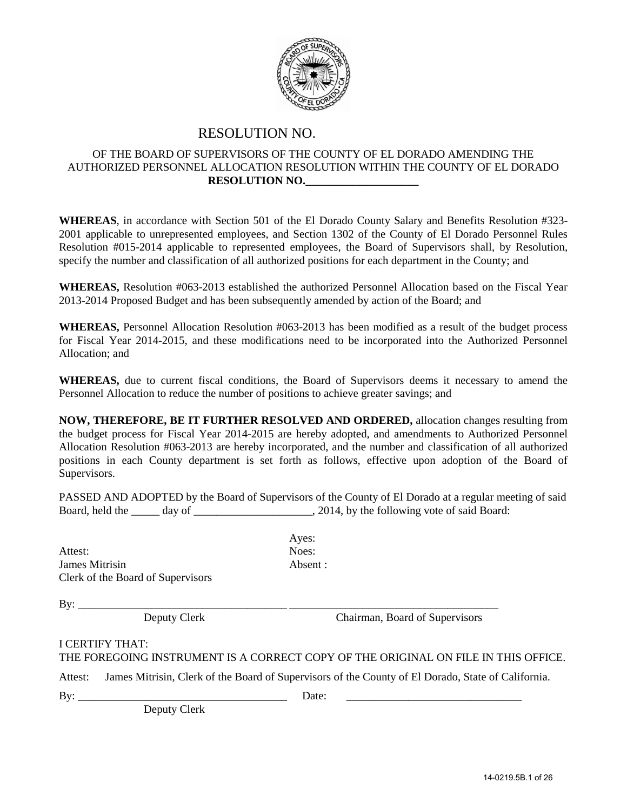

#### RESOLUTION NO.

#### OF THE BOARD OF SUPERVISORS OF THE COUNTY OF EL DORADO AMENDING THE AUTHORIZED PERSONNEL ALLOCATION RESOLUTION WITHIN THE COUNTY OF EL DORADO **RESOLUTION NO.\_\_\_\_\_\_\_\_\_\_\_\_\_\_\_\_\_\_\_\_**

**WHEREAS**, in accordance with Section 501 of the El Dorado County Salary and Benefits Resolution #323- 2001 applicable to unrepresented employees, and Section 1302 of the County of El Dorado Personnel Rules Resolution #015-2014 applicable to represented employees, the Board of Supervisors shall, by Resolution, specify the number and classification of all authorized positions for each department in the County; and

**WHEREAS,** Resolution #063-2013 established the authorized Personnel Allocation based on the Fiscal Year 2013-2014 Proposed Budget and has been subsequently amended by action of the Board; and

**WHEREAS,** Personnel Allocation Resolution #063-2013 has been modified as a result of the budget process for Fiscal Year 2014-2015, and these modifications need to be incorporated into the Authorized Personnel Allocation; and

**WHEREAS,** due to current fiscal conditions, the Board of Supervisors deems it necessary to amend the Personnel Allocation to reduce the number of positions to achieve greater savings; and

**NOW, THEREFORE, BE IT FURTHER RESOLVED AND ORDERED,** allocation changes resulting from the budget process for Fiscal Year 2014-2015 are hereby adopted, and amendments to Authorized Personnel Allocation Resolution #063-2013 are hereby incorporated, and the number and classification of all authorized positions in each County department is set forth as follows, effective upon adoption of the Board of Supervisors.

PASSED AND ADOPTED by the Board of Supervisors of the County of El Dorado at a regular meeting of said Board, held the \_\_\_\_\_ day of \_\_\_\_\_\_\_\_\_\_\_\_\_\_\_\_\_\_\_\_\_\_\_\_, 2014, by the following vote of said Board:

Attest: Noes: James Mitrisin Absent : Clerk of the Board of Supervisors

Ayes:

By: \_\_\_\_\_\_\_\_\_\_\_\_\_\_\_\_\_\_\_\_\_\_\_\_\_\_\_\_\_\_\_\_\_\_\_\_\_ \_\_\_\_\_\_\_\_\_\_\_\_\_\_\_\_\_\_\_\_\_\_\_\_\_\_\_\_\_\_\_\_\_\_\_\_\_

Deputy Clerk Chairman, Board of Supervisors

#### I CERTIFY THAT:

THE FOREGOING INSTRUMENT IS A CORRECT COPY OF THE ORIGINAL ON FILE IN THIS OFFICE.

Attest: James Mitrisin, Clerk of the Board of Supervisors of the County of El Dorado, State of California.

Deputy Clerk

By: \_\_\_\_\_\_\_\_\_\_\_\_\_\_\_\_\_\_\_\_\_\_\_\_\_\_\_\_\_\_\_\_\_\_\_\_\_ Date: \_\_\_\_\_\_\_\_\_\_\_\_\_\_\_\_\_\_\_\_\_\_\_\_\_\_\_\_\_\_\_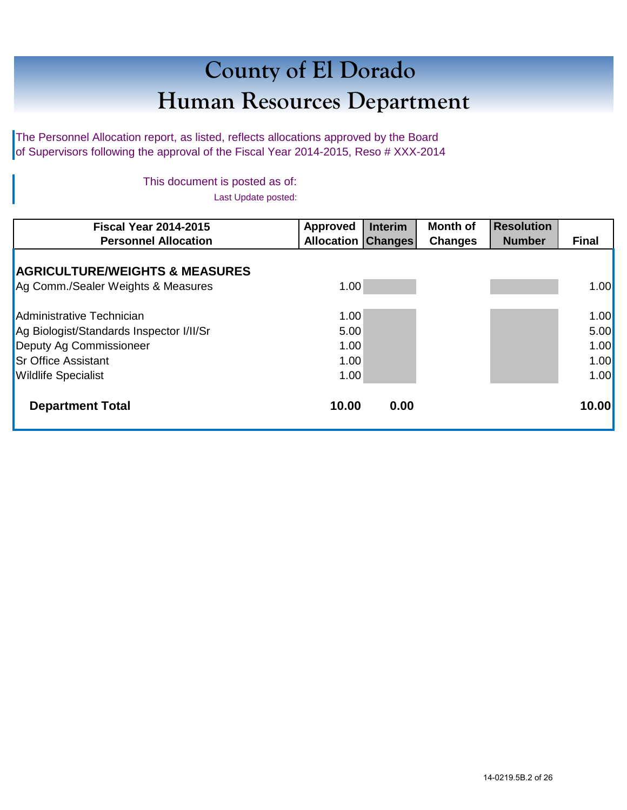# **County of El Dorado Human Resources Department**

The Personnel Allocation report, as listed, reflects allocations approved by the Board of Supervisors following the approval of the Fiscal Year 2014-2015, Reso # XXX-2014

> This document is posted as of: Last Update posted:

| <b>Fiscal Year 2014-2015</b>              | Approved                  | <b>Interim</b> | <b>Month of</b> | <b>Resolution</b> |              |
|-------------------------------------------|---------------------------|----------------|-----------------|-------------------|--------------|
| <b>Personnel Allocation</b>               | <b>Allocation Changes</b> |                | <b>Changes</b>  | <b>Number</b>     | <b>Final</b> |
| <b>AGRICULTURE/WEIGHTS &amp; MEASURES</b> |                           |                |                 |                   |              |
| Ag Comm./Sealer Weights & Measures        | 1.00                      |                |                 |                   | 1.00         |
| Administrative Technician                 | 1.00                      |                |                 |                   | 1.00         |
| Ag Biologist/Standards Inspector I/II/Sr  | 5.00                      |                |                 |                   | 5.00         |
| Deputy Ag Commissioneer                   | 1.00                      |                |                 |                   | 1.00         |
| <b>Sr Office Assistant</b>                | 1.00                      |                |                 |                   | 1.00         |
| <b>Wildlife Specialist</b>                | 1.00                      |                |                 |                   | 1.00         |
| <b>Department Total</b>                   | 10.00                     | 0.00           |                 |                   | 10.00        |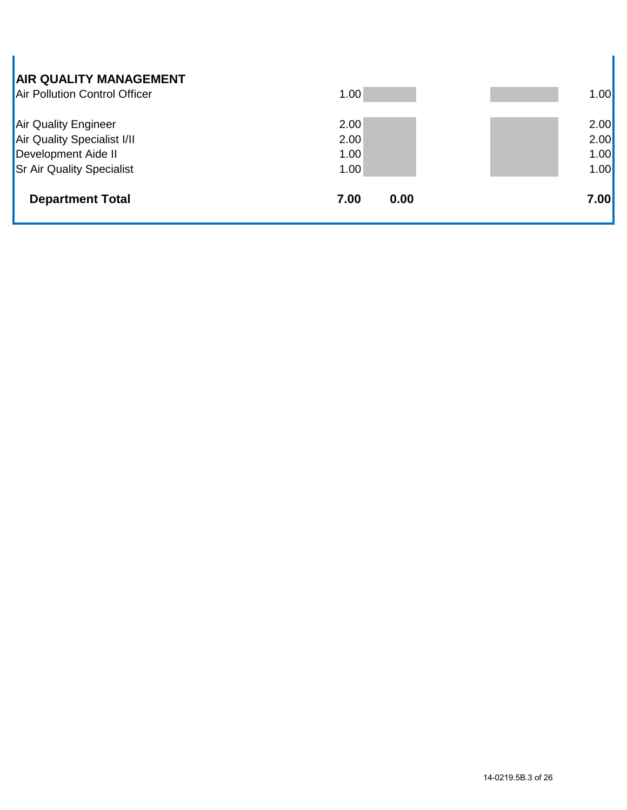| <b>AIR QUALITY MANAGEMENT</b><br>Air Pollution Control Officer | 1.00         | 1.00 |
|----------------------------------------------------------------|--------------|------|
| Air Quality Engineer                                           | 2.00         | 2.00 |
| Air Quality Specialist I/II                                    | 2.00         | 2.00 |
| Development Aide II                                            | 1.00         | 1.00 |
| <b>Sr Air Quality Specialist</b>                               | 1.00         | 1.00 |
| <b>Department Total</b>                                        | 0.00<br>7.00 | 7.00 |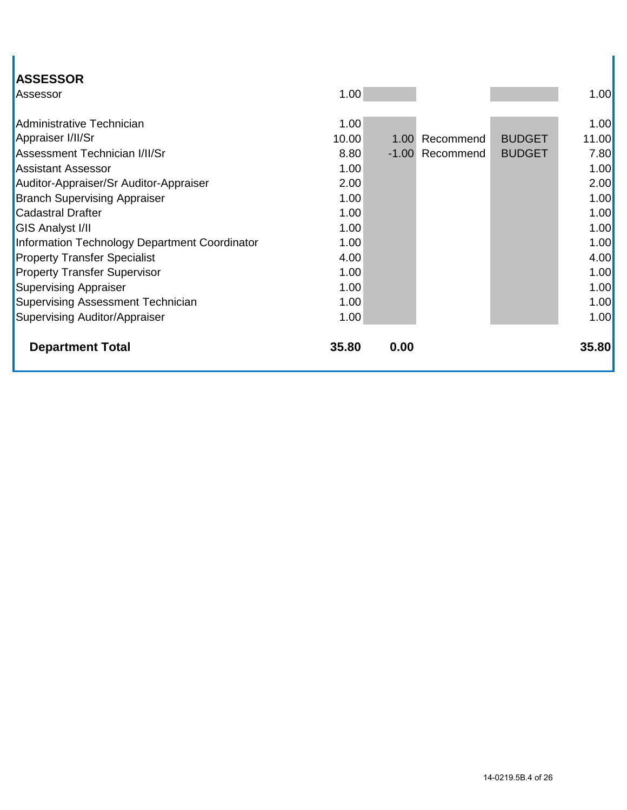| <b>ASSESSOR</b>                               |       |      |                 |               |              |
|-----------------------------------------------|-------|------|-----------------|---------------|--------------|
| Assessor                                      | 1.00  |      |                 |               | 1.00         |
|                                               |       |      |                 |               |              |
| Administrative Technician                     | 1.00  |      |                 |               | 1.00         |
| Appraiser I/II/Sr                             | 10.00 |      | 1.00 Recommend  | <b>BUDGET</b> | 11.00        |
| Assessment Technician I/II/Sr                 | 8.80  |      | -1.00 Recommend | <b>BUDGET</b> | 7.80         |
| <b>Assistant Assessor</b>                     | 1.00  |      |                 |               | 1.00         |
| Auditor-Appraiser/Sr Auditor-Appraiser        | 2.00  |      |                 |               | 2.00         |
| <b>Branch Supervising Appraiser</b>           | 1.00  |      |                 |               | 1.00         |
| <b>Cadastral Drafter</b>                      | 1.00  |      |                 |               | 1.00         |
| <b>GIS Analyst I/II</b>                       | 1.00  |      |                 |               | 1.00         |
| Information Technology Department Coordinator | 1.00  |      |                 |               | 1.00         |
| <b>Property Transfer Specialist</b>           | 4.00  |      |                 |               | 4.00         |
| <b>Property Transfer Supervisor</b>           | 1.00  |      |                 |               | 1.00         |
| <b>Supervising Appraiser</b>                  | 1.00  |      |                 |               | 1.00         |
| Supervising Assessment Technician             | 1.00  |      |                 |               | 1.00         |
| Supervising Auditor/Appraiser                 | 1.00  |      |                 |               | 1.00         |
|                                               |       |      |                 |               |              |
| <b>Department Total</b>                       | 35.80 | 0.00 |                 |               | <b>35.80</b> |
|                                               |       |      |                 |               |              |

I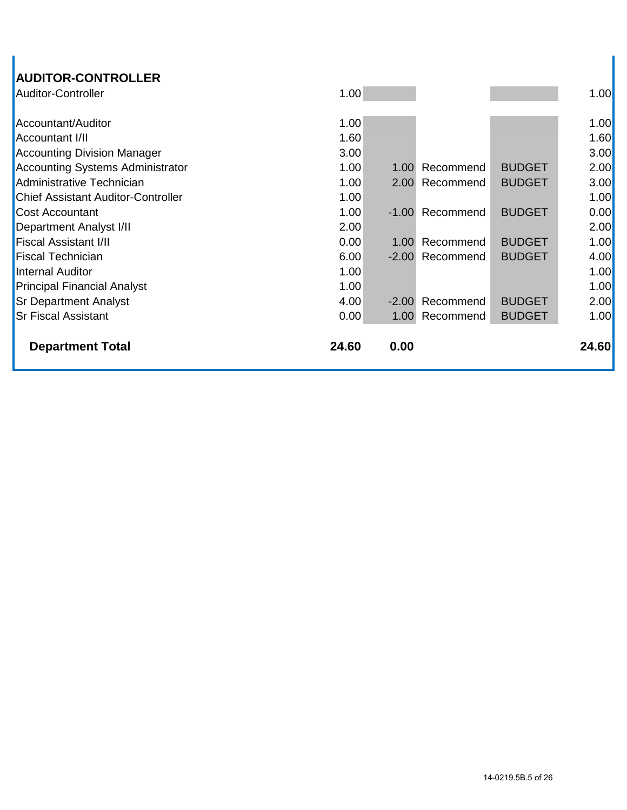| <b>AUDITOR-CONTROLLER</b>                 |       |         |                |               |       |
|-------------------------------------------|-------|---------|----------------|---------------|-------|
| <b>Auditor-Controller</b>                 | 1.00  |         |                |               | 1.00  |
| Accountant/Auditor                        | 1.00  |         |                |               | 1.00  |
| <b>Accountant I/II</b>                    | 1.60  |         |                |               | 1.60  |
| <b>Accounting Division Manager</b>        | 3.00  |         |                |               | 3.00  |
|                                           | 1.00  |         |                | <b>BUDGET</b> |       |
| <b>Accounting Systems Administrator</b>   |       | 1.00    | Recommend      |               | 2.00  |
| Administrative Technician                 | 1.00  | 2.00    | Recommend      | <b>BUDGET</b> | 3.00  |
| <b>Chief Assistant Auditor-Controller</b> | 1.00  |         |                |               | 1.00  |
| <b>Cost Accountant</b>                    | 1.00  | $-1.00$ | Recommend      | <b>BUDGET</b> | 0.00  |
| <b>Department Analyst I/II</b>            | 2.00  |         |                |               | 2.00  |
| <b>Fiscal Assistant I/II</b>              | 0.00  | 1.00    | Recommend      | <b>BUDGET</b> | 1.00  |
| <b>Fiscal Technician</b>                  | 6.00  | $-2.00$ | Recommend      | <b>BUDGET</b> | 4.00  |
| <b>Internal Auditor</b>                   | 1.00  |         |                |               | 1.00  |
| <b>Principal Financial Analyst</b>        | 1.00  |         |                |               | 1.00  |
| <b>Sr Department Analyst</b>              | 4.00  | $-2.00$ | Recommend      | <b>BUDGET</b> | 2.00  |
| <b>Sr Fiscal Assistant</b>                | 0.00  |         | 1.00 Recommend | <b>BUDGET</b> | 1.00  |
|                                           |       |         |                |               |       |
| <b>Department Total</b>                   | 24.60 | 0.00    |                |               | 24.60 |
|                                           |       |         |                |               |       |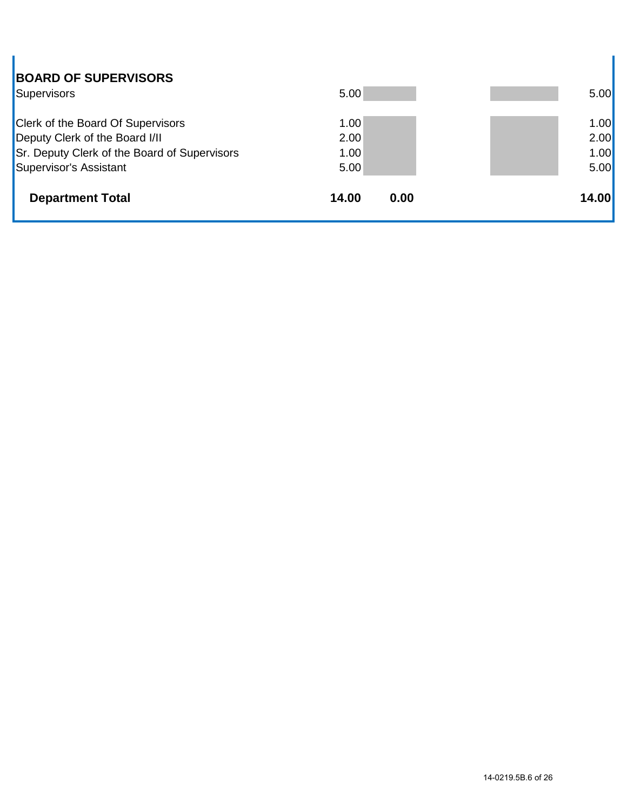| <b>BOARD OF SUPERVISORS</b>                                                |       |      |       |
|----------------------------------------------------------------------------|-------|------|-------|
| Supervisors                                                                | 5.00  |      | 5.00  |
|                                                                            | 1.00  |      | 1.00  |
| <b>Clerk of the Board Of Supervisors</b><br>Deputy Clerk of the Board I/II | 2.00  |      | 2.00  |
| Sr. Deputy Clerk of the Board of Supervisors                               | 1.00  |      | 1.00  |
| Supervisor's Assistant                                                     | 5.00  |      | 5.00  |
| <b>Department Total</b>                                                    | 14.00 | 0.00 | 14.00 |

I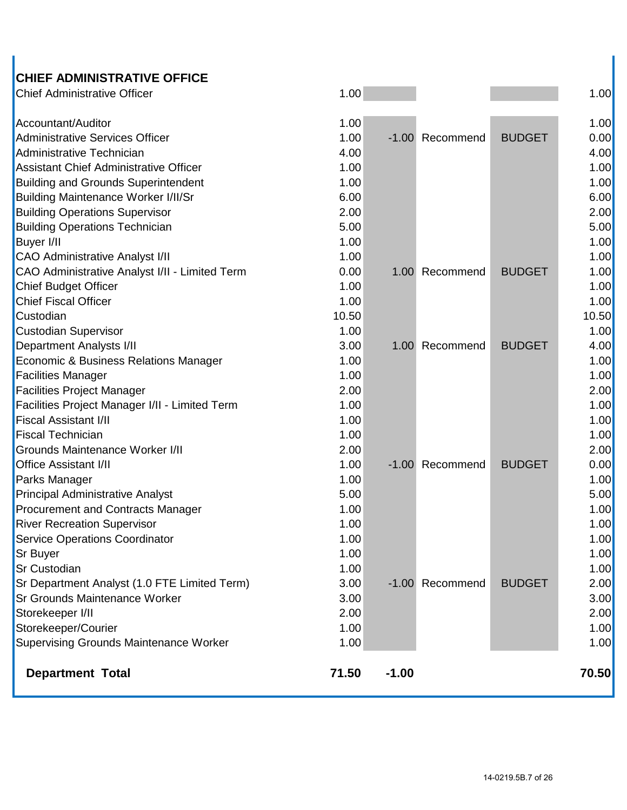## **CHIEF ADMINISTRATIVE OFFICE**

| <b>Chief Administrative Officer</b>            | 1.00  |         |                 |               | 1.00  |
|------------------------------------------------|-------|---------|-----------------|---------------|-------|
| Accountant/Auditor                             | 1.00  |         |                 |               | 1.00  |
| Administrative Services Officer                | 1.00  |         | -1.00 Recommend | <b>BUDGET</b> | 0.00  |
| Administrative Technician                      | 4.00  |         |                 |               | 4.00  |
| <b>Assistant Chief Administrative Officer</b>  | 1.00  |         |                 |               | 1.00  |
| <b>Building and Grounds Superintendent</b>     | 1.00  |         |                 |               | 1.00  |
| <b>Building Maintenance Worker I/II/Sr</b>     | 6.00  |         |                 |               | 6.00  |
| <b>Building Operations Supervisor</b>          | 2.00  |         |                 |               | 2.00  |
| <b>Building Operations Technician</b>          | 5.00  |         |                 |               | 5.00  |
| <b>Buyer I/II</b>                              | 1.00  |         |                 |               | 1.00  |
| <b>CAO Administrative Analyst I/II</b>         | 1.00  |         |                 |               | 1.00  |
| CAO Administrative Analyst I/II - Limited Term | 0.00  |         | 1.00 Recommend  | <b>BUDGET</b> | 1.00  |
| <b>Chief Budget Officer</b>                    | 1.00  |         |                 |               | 1.00  |
| <b>Chief Fiscal Officer</b>                    | 1.00  |         |                 |               | 1.00  |
| Custodian                                      | 10.50 |         |                 |               | 10.50 |
| <b>Custodian Supervisor</b>                    | 1.00  |         |                 |               | 1.00  |
| <b>Department Analysts I/II</b>                | 3.00  |         | 1.00 Recommend  | <b>BUDGET</b> | 4.00  |
| Economic & Business Relations Manager          | 1.00  |         |                 |               | 1.00  |
| <b>Facilities Manager</b>                      | 1.00  |         |                 |               | 1.00  |
| <b>Facilities Project Manager</b>              | 2.00  |         |                 |               | 2.00  |
| Facilities Project Manager I/II - Limited Term | 1.00  |         |                 |               | 1.00  |
| <b>Fiscal Assistant I/II</b>                   | 1.00  |         |                 |               | 1.00  |
| <b>Fiscal Technician</b>                       | 1.00  |         |                 |               | 1.00  |
| <b>Grounds Maintenance Worker I/II</b>         | 2.00  |         |                 |               | 2.00  |
| <b>Office Assistant I/II</b>                   | 1.00  |         | -1.00 Recommend | <b>BUDGET</b> | 0.00  |
| Parks Manager                                  | 1.00  |         |                 |               | 1.00  |
| <b>Principal Administrative Analyst</b>        | 5.00  |         |                 |               | 5.00  |
| <b>Procurement and Contracts Manager</b>       | 1.00  |         |                 |               | 1.00  |
| <b>River Recreation Supervisor</b>             | 1.00  |         |                 |               | 1.00  |
| <b>Service Operations Coordinator</b>          | 1.00  |         |                 |               | 1.00  |
| <b>Sr Buyer</b>                                | 1.00  |         |                 |               | 1.00  |
| <b>Sr Custodian</b>                            | 1.00  |         |                 |               | 1.00  |
| Sr Department Analyst (1.0 FTE Limited Term)   | 3.00  |         | -1.00 Recommend | <b>BUDGET</b> | 2.00  |
| <b>Sr Grounds Maintenance Worker</b>           | 3.00  |         |                 |               | 3.00  |
| Storekeeper I/II                               | 2.00  |         |                 |               | 2.00  |
| Storekeeper/Courier                            | 1.00  |         |                 |               | 1.00  |
| Supervising Grounds Maintenance Worker         | 1.00  |         |                 |               | 1.00  |
| <b>Department Total</b>                        | 71.50 | $-1.00$ |                 |               | 70.50 |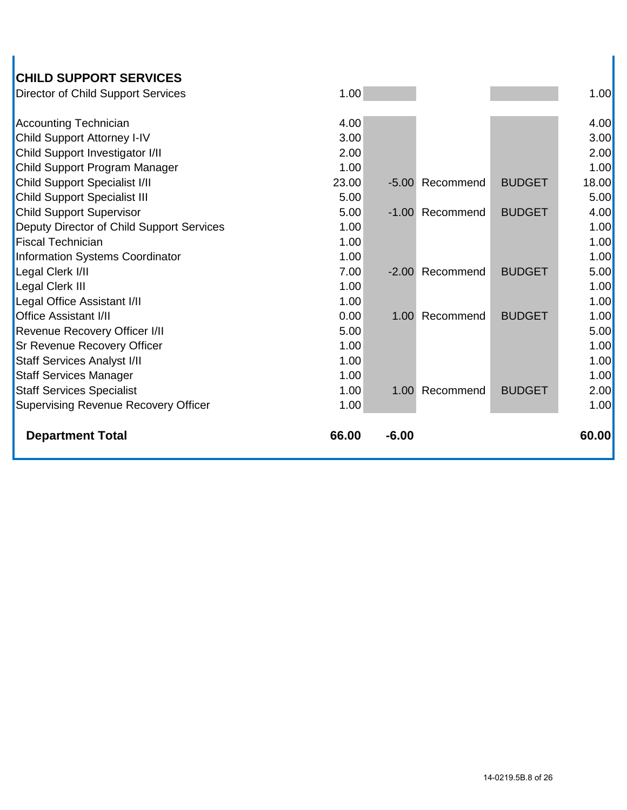| <b>CHILD SUPPORT SERVICES</b>               |       |         |                 |               |       |
|---------------------------------------------|-------|---------|-----------------|---------------|-------|
| <b>Director of Child Support Services</b>   | 1.00  |         |                 |               | 1.00  |
|                                             |       |         |                 |               |       |
| <b>Accounting Technician</b>                | 4.00  |         |                 |               | 4.00  |
| Child Support Attorney I-IV                 | 3.00  |         |                 |               | 3.00  |
| Child Support Investigator I/II             | 2.00  |         |                 |               | 2.00  |
| Child Support Program Manager               | 1.00  |         |                 |               | 1.00  |
| <b>Child Support Specialist I/II</b>        | 23.00 | $-5.00$ | Recommend       | <b>BUDGET</b> | 18.00 |
| <b>Child Support Specialist III</b>         | 5.00  |         |                 |               | 5.00  |
| <b>Child Support Supervisor</b>             | 5.00  |         | -1.00 Recommend | <b>BUDGET</b> | 4.00  |
| Deputy Director of Child Support Services   | 1.00  |         |                 |               | 1.00  |
| <b>Fiscal Technician</b>                    | 1.00  |         |                 |               | 1.00  |
| Information Systems Coordinator             | 1.00  |         |                 |               | 1.00  |
| Legal Clerk I/II                            | 7.00  | $-2.00$ | Recommend       | <b>BUDGET</b> | 5.00  |
| Legal Clerk III                             | 1.00  |         |                 |               | 1.00  |
| Legal Office Assistant I/II                 | 1.00  |         |                 |               | 1.00  |
| <b>Office Assistant I/II</b>                | 0.00  | 1.00    | Recommend       | <b>BUDGET</b> | 1.00  |
| Revenue Recovery Officer I/II               | 5.00  |         |                 |               | 5.00  |
| Sr Revenue Recovery Officer                 | 1.00  |         |                 |               | 1.00  |
| <b>Staff Services Analyst I/II</b>          | 1.00  |         |                 |               | 1.00  |
| <b>Staff Services Manager</b>               | 1.00  |         |                 |               | 1.00  |
| <b>Staff Services Specialist</b>            | 1.00  | 1.00    | Recommend       | <b>BUDGET</b> | 2.00  |
| <b>Supervising Revenue Recovery Officer</b> | 1.00  |         |                 |               | 1.00  |
|                                             |       |         |                 |               |       |
| <b>Department Total</b>                     | 66.00 | $-6.00$ |                 |               | 60.00 |
|                                             |       |         |                 |               |       |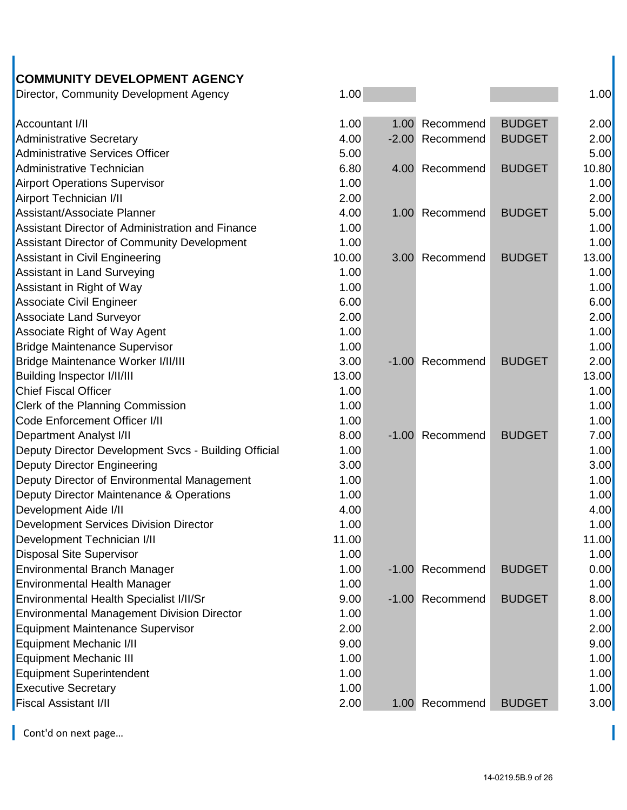#### **COMMUNITY DEVELOPMENT AGENCY** Director, Community Development Agency 1.00 1.00

| <b>Providity Definitionly Development Agency</b>     |       |                 |               |       |
|------------------------------------------------------|-------|-----------------|---------------|-------|
| Accountant I/II                                      | 1.00  | 1.00 Recommend  | <b>BUDGET</b> | 2.00  |
| <b>Administrative Secretary</b>                      | 4.00  | -2.00 Recommend | <b>BUDGET</b> | 2.00  |
| <b>Administrative Services Officer</b>               | 5.00  |                 |               | 5.00  |
| Administrative Technician                            | 6.80  | 4.00 Recommend  | <b>BUDGET</b> | 10.80 |
| <b>Airport Operations Supervisor</b>                 | 1.00  |                 |               | 1.00  |
| Airport Technician I/II                              | 2.00  |                 |               | 2.00  |
| Assistant/Associate Planner                          | 4.00  | 1.00 Recommend  | <b>BUDGET</b> | 5.00  |
| Assistant Director of Administration and Finance     | 1.00  |                 |               | 1.00  |
| <b>Assistant Director of Community Development</b>   | 1.00  |                 |               | 1.00  |
| <b>Assistant in Civil Engineering</b>                | 10.00 | 3.00 Recommend  | <b>BUDGET</b> | 13.00 |
| <b>Assistant in Land Surveying</b>                   | 1.00  |                 |               | 1.00  |
| Assistant in Right of Way                            | 1.00  |                 |               | 1.00  |
| Associate Civil Engineer                             | 6.00  |                 |               | 6.00  |
| <b>Associate Land Surveyor</b>                       | 2.00  |                 |               | 2.00  |
| Associate Right of Way Agent                         | 1.00  |                 |               | 1.00  |
| <b>Bridge Maintenance Supervisor</b>                 | 1.00  |                 |               | 1.00  |
| Bridge Maintenance Worker I/II/III                   | 3.00  | -1.00 Recommend | <b>BUDGET</b> | 2.00  |
| Building Inspector I/II/III                          | 13.00 |                 |               | 13.00 |
| <b>Chief Fiscal Officer</b>                          | 1.00  |                 |               | 1.00  |
| Clerk of the Planning Commission                     | 1.00  |                 |               | 1.00  |
| Code Enforcement Officer I/II                        | 1.00  |                 |               | 1.00  |
| <b>Department Analyst I/II</b>                       | 8.00  | -1.00 Recommend | <b>BUDGET</b> | 7.00  |
| Deputy Director Development Svcs - Building Official | 1.00  |                 |               | 1.00  |
| <b>Deputy Director Engineering</b>                   | 3.00  |                 |               | 3.00  |
| Deputy Director of Environmental Management          | 1.00  |                 |               | 1.00  |
| Deputy Director Maintenance & Operations             | 1.00  |                 |               | 1.00  |
| Development Aide I/II                                | 4.00  |                 |               | 4.00  |
| <b>Development Services Division Director</b>        | 1.00  |                 |               | 1.00  |
| Development Technician I/II                          | 11.00 |                 |               | 11.00 |
| <b>Disposal Site Supervisor</b>                      | 1.00  |                 |               | 1.00  |
| <b>Environmental Branch Manager</b>                  | 1.00  | -1.00 Recommend | <b>BUDGET</b> | 0.00  |
| <b>Environmental Health Manager</b>                  | 1.00  |                 |               | 1.00  |
| Environmental Health Specialist I/II/Sr              | 9.00  | -1.00 Recommend | <b>BUDGET</b> | 8.00  |
| <b>Environmental Management Division Director</b>    | 1.00  |                 |               | 1.00  |
| <b>Equipment Maintenance Supervisor</b>              | 2.00  |                 |               | 2.00  |
| <b>Equipment Mechanic I/II</b>                       | 9.00  |                 |               | 9.00  |
| <b>Equipment Mechanic III</b>                        | 1.00  |                 |               | 1.00  |
| <b>Equipment Superintendent</b>                      | 1.00  |                 |               | 1.00  |
| <b>Executive Secretary</b>                           | 1.00  |                 |               | 1.00  |
| <b>Fiscal Assistant I/II</b>                         | 2.00  | 1.00 Recommend  | <b>BUDGET</b> | 3.00  |
|                                                      |       |                 |               |       |

Cont'd on next page...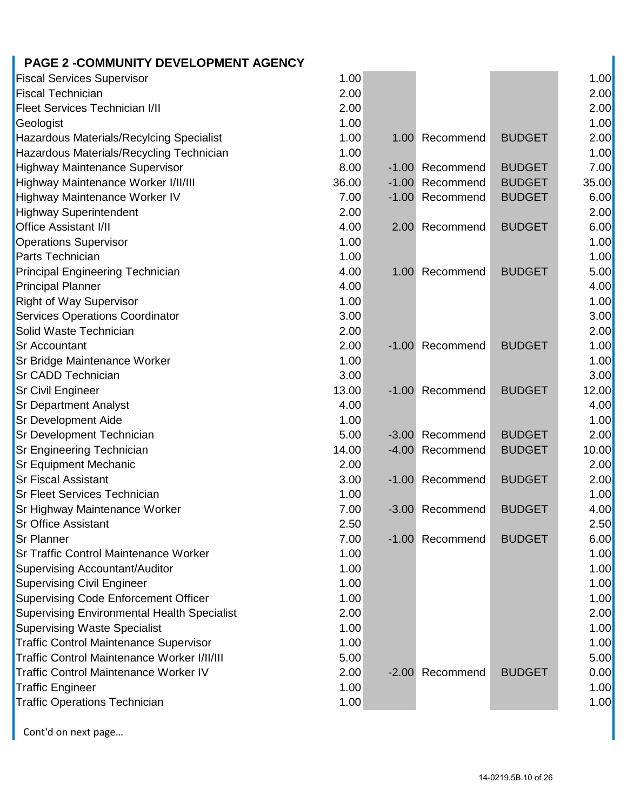# **PAGE 2 -COMMUNITY DEVELOPMENT AGENCY**

| <b>Fiscal Services Supervisor</b>             | 1.00  |         |                 |               | 1.00  |
|-----------------------------------------------|-------|---------|-----------------|---------------|-------|
| <b>Fiscal Technician</b>                      | 2.00  |         |                 |               | 2.00  |
| <b>Fleet Services Technician I/II</b>         | 2.00  |         |                 |               | 2.00  |
| Geologist                                     | 1.00  |         |                 |               | 1.00  |
| Hazardous Materials/Recylcing Specialist      | 1.00  |         | 1.00 Recommend  | <b>BUDGET</b> | 2.00  |
| Hazardous Materials/Recycling Technician      | 1.00  |         |                 |               | 1.00  |
| <b>Highway Maintenance Supervisor</b>         | 8.00  |         | -1.00 Recommend | <b>BUDGET</b> | 7.00  |
| Highway Maintenance Worker I/II/III           | 36.00 |         | -1.00 Recommend | <b>BUDGET</b> | 35.00 |
| Highway Maintenance Worker IV                 | 7.00  |         | -1.00 Recommend | <b>BUDGET</b> | 6.00  |
| <b>Highway Superintendent</b>                 | 2.00  |         |                 |               | 2.00  |
| <b>Office Assistant I/II</b>                  | 4.00  |         | 2.00 Recommend  | <b>BUDGET</b> | 6.00  |
| <b>Operations Supervisor</b>                  | 1.00  |         |                 |               | 1.00  |
| <b>Parts Technician</b>                       | 1.00  |         |                 |               | 1.00  |
| <b>Principal Engineering Technician</b>       | 4.00  |         | 1.00 Recommend  | <b>BUDGET</b> | 5.00  |
| <b>Principal Planner</b>                      | 4.00  |         |                 |               | 4.00  |
| <b>Right of Way Supervisor</b>                | 1.00  |         |                 |               | 1.00  |
| <b>Services Operations Coordinator</b>        | 3.00  |         |                 |               | 3.00  |
| Solid Waste Technician                        | 2.00  |         |                 |               | 2.00  |
| <b>Sr Accountant</b>                          | 2.00  |         | -1.00 Recommend | <b>BUDGET</b> | 1.00  |
| Sr Bridge Maintenance Worker                  | 1.00  |         |                 |               | 1.00  |
| <b>Sr CADD Technician</b>                     | 3.00  |         |                 |               | 3.00  |
| <b>Sr Civil Engineer</b>                      | 13.00 | $-1.00$ | Recommend       | <b>BUDGET</b> | 12.00 |
| <b>Sr Department Analyst</b>                  | 4.00  |         |                 |               | 4.00  |
| <b>Sr Development Aide</b>                    | 1.00  |         |                 |               | 1.00  |
| <b>Sr Development Technician</b>              | 5.00  |         | -3.00 Recommend | <b>BUDGET</b> | 2.00  |
| <b>Sr Engineering Technician</b>              | 14.00 |         | -4.00 Recommend | <b>BUDGET</b> | 10.00 |
| <b>Sr Equipment Mechanic</b>                  | 2.00  |         |                 |               | 2.00  |
| <b>Sr Fiscal Assistant</b>                    | 3.00  |         | -1.00 Recommend | <b>BUDGET</b> | 2.00  |
| <b>Sr Fleet Services Technician</b>           | 1.00  |         |                 |               | 1.00  |
| Sr Highway Maintenance Worker                 | 7.00  |         | -3.00 Recommend | <b>BUDGET</b> | 4.00  |
| <b>Sr Office Assistant</b>                    | 2.50  |         |                 |               | 2.50  |
| <b>Sr Planner</b>                             | 7.00  |         | -1.00 Recommend | <b>BUDGET</b> | 6.00  |
| <b>Sr Traffic Control Maintenance Worker</b>  | 1.00  |         |                 |               | 1.00  |
| Supervising Accountant/Auditor                | 1.00  |         |                 |               | 1.00  |
| <b>Supervising Civil Engineer</b>             | 1.00  |         |                 |               | 1.00  |
| Supervising Code Enforcement Officer          | 1.00  |         |                 |               | 1.00  |
| Supervising Environmental Health Specialist   | 2.00  |         |                 |               | 2.00  |
| <b>Supervising Waste Specialist</b>           | 1.00  |         |                 |               | 1.00  |
| <b>Traffic Control Maintenance Supervisor</b> | 1.00  |         |                 |               | 1.00  |
| Traffic Control Maintenance Worker I/II/III   | 5.00  |         |                 |               | 5.00  |
| <b>Traffic Control Maintenance Worker IV</b>  | 2.00  |         | -2.00 Recommend | <b>BUDGET</b> | 0.00  |
| <b>Traffic Engineer</b>                       | 1.00  |         |                 |               | 1.00  |
| <b>Traffic Operations Technician</b>          | 1.00  |         |                 |               | 1.00  |
|                                               |       |         |                 |               |       |

Cont'd on next page…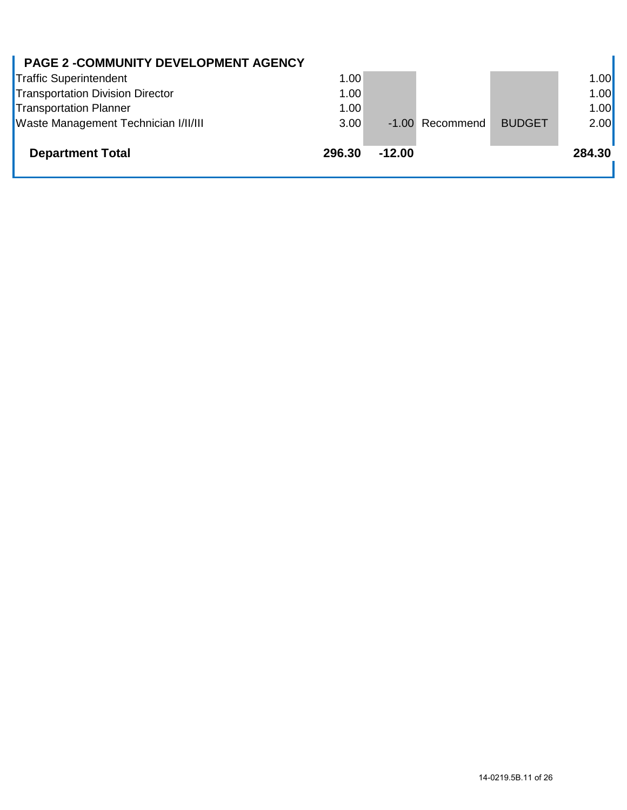| <b>PAGE 2 -COMMUNITY DEVELOPMENT AGENCY</b> |        |          |                 |               |        |
|---------------------------------------------|--------|----------|-----------------|---------------|--------|
| <b>Traffic Superintendent</b>               | 1.00   |          |                 |               | 1.00   |
| <b>Transportation Division Director</b>     | 1.00   |          |                 |               | 1.00   |
| <b>Transportation Planner</b>               | 1.00   |          |                 |               | 1.00   |
| Waste Management Technician I/II/III        | 3.00   |          | -1.00 Recommend | <b>BUDGET</b> | 2.00   |
| <b>Department Total</b>                     | 296.30 | $-12.00$ |                 |               | 284.30 |

 $\mathbf{r}$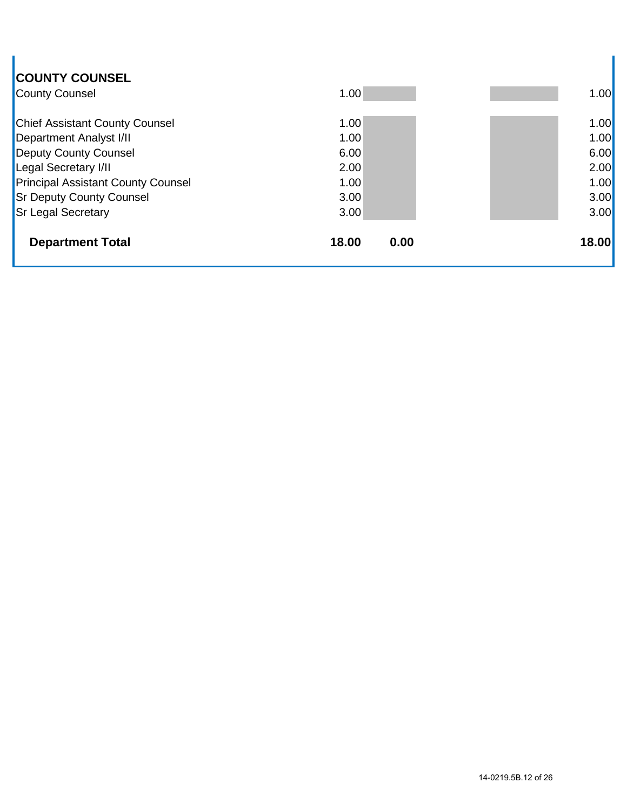| <b>COUNTY COUNSEL</b><br><b>County Counsel</b> | 1.00          | 1.00  |
|------------------------------------------------|---------------|-------|
| <b>Chief Assistant County Counsel</b>          | 1.00          | 1.00  |
| <b>Department Analyst I/II</b>                 | 1.00          | 1.00  |
| <b>Deputy County Counsel</b>                   | 6.00          | 6.00  |
| <b>Legal Secretary I/II</b>                    | 2.00          | 2.00  |
| <b>Principal Assistant County Counsel</b>      | 1.00          | 1.00  |
| <b>Sr Deputy County Counsel</b>                | 3.00          | 3.00  |
| <b>Sr Legal Secretary</b>                      | 3.00          | 3.00  |
| <b>Department Total</b>                        | 18.00<br>0.00 | 18.00 |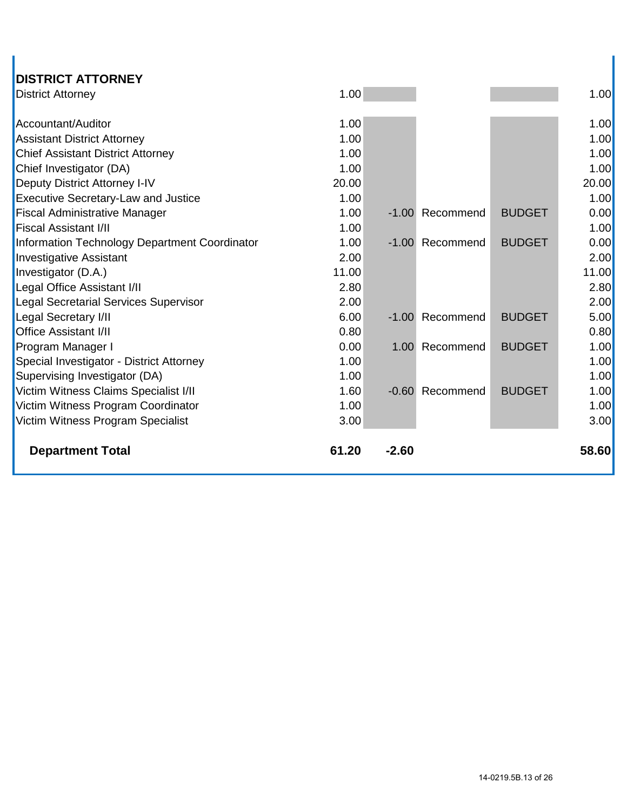| <b>DISTRICT ATTORNEY</b>                      |       |         |                 |               |       |
|-----------------------------------------------|-------|---------|-----------------|---------------|-------|
| <b>District Attorney</b>                      | 1.00  |         |                 |               | 1.00  |
|                                               |       |         |                 |               |       |
| Accountant/Auditor                            | 1.00  |         |                 |               | 1.00  |
| <b>Assistant District Attorney</b>            | 1.00  |         |                 |               | 1.00  |
| <b>Chief Assistant District Attorney</b>      | 1.00  |         |                 |               | 1.00  |
| Chief Investigator (DA)                       | 1.00  |         |                 |               | 1.00  |
| Deputy District Attorney I-IV                 | 20.00 |         |                 |               | 20.00 |
| <b>Executive Secretary-Law and Justice</b>    | 1.00  |         |                 |               | 1.00  |
| <b>Fiscal Administrative Manager</b>          | 1.00  | $-1.00$ | Recommend       | <b>BUDGET</b> | 0.00  |
| <b>Fiscal Assistant I/II</b>                  | 1.00  |         |                 |               | 1.00  |
| Information Technology Department Coordinator | 1.00  |         | -1.00 Recommend | <b>BUDGET</b> | 0.00  |
| <b>Investigative Assistant</b>                | 2.00  |         |                 |               | 2.00  |
| Investigator (D.A.)                           | 11.00 |         |                 |               | 11.00 |
| Legal Office Assistant I/II                   | 2.80  |         |                 |               | 2.80  |
| <b>Legal Secretarial Services Supervisor</b>  | 2.00  |         |                 |               | 2.00  |
| Legal Secretary I/II                          | 6.00  |         | -1.00 Recommend | <b>BUDGET</b> | 5.00  |
| <b>Office Assistant I/II</b>                  | 0.80  |         |                 |               | 0.80  |
| Program Manager I                             | 0.00  |         | 1.00 Recommend  | <b>BUDGET</b> | 1.00  |
| Special Investigator - District Attorney      | 1.00  |         |                 |               | 1.00  |
| Supervising Investigator (DA)                 | 1.00  |         |                 |               | 1.00  |
| Victim Witness Claims Specialist I/II         | 1.60  | $-0.60$ | Recommend       | <b>BUDGET</b> | 1.00  |
| Victim Witness Program Coordinator            | 1.00  |         |                 |               | 1.00  |
| Victim Witness Program Specialist             | 3.00  |         |                 |               | 3.00  |
|                                               |       |         |                 |               |       |
| <b>Department Total</b>                       | 61.20 | $-2.60$ |                 |               | 58.60 |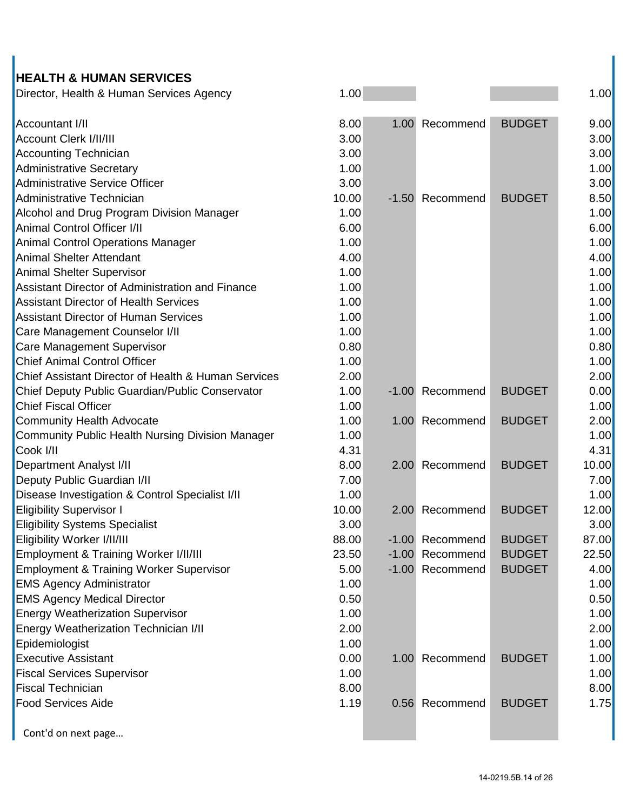## **HEALTH & HUMAN SERVICES**

| Director, Health & Human Services Agency | .00. |  | .00 |
|------------------------------------------|------|--|-----|
|------------------------------------------|------|--|-----|

| Accountant I/II                                         | 8.00  | 1.00 | Recommend       | <b>BUDGET</b> | 9.00  |
|---------------------------------------------------------|-------|------|-----------------|---------------|-------|
| <b>Account Clerk I/II/III</b>                           | 3.00  |      |                 |               | 3.00  |
| <b>Accounting Technician</b>                            | 3.00  |      |                 |               | 3.00  |
| Administrative Secretary                                | 1.00  |      |                 |               | 1.00  |
| Administrative Service Officer                          | 3.00  |      |                 |               | 3.00  |
| Administrative Technician                               | 10.00 |      | -1.50 Recommend | <b>BUDGET</b> | 8.50  |
| Alcohol and Drug Program Division Manager               | 1.00  |      |                 |               | 1.00  |
| Animal Control Officer I/II                             | 6.00  |      |                 |               | 6.00  |
| <b>Animal Control Operations Manager</b>                | 1.00  |      |                 |               | 1.00  |
| <b>Animal Shelter Attendant</b>                         | 4.00  |      |                 |               | 4.00  |
| Animal Shelter Supervisor                               | 1.00  |      |                 |               | 1.00  |
| Assistant Director of Administration and Finance        | 1.00  |      |                 |               | 1.00  |
| <b>Assistant Director of Health Services</b>            | 1.00  |      |                 |               | 1.00  |
| <b>Assistant Director of Human Services</b>             | 1.00  |      |                 |               | 1.00  |
| Care Management Counselor I/II                          | 1.00  |      |                 |               | 1.00  |
| Care Management Supervisor                              | 0.80  |      |                 |               | 0.80  |
| <b>Chief Animal Control Officer</b>                     | 1.00  |      |                 |               | 1.00  |
| Chief Assistant Director of Health & Human Services     | 2.00  |      |                 |               | 2.00  |
| Chief Deputy Public Guardian/Public Conservator         | 1.00  |      | -1.00 Recommend | <b>BUDGET</b> | 0.00  |
| <b>Chief Fiscal Officer</b>                             | 1.00  |      |                 |               | 1.00  |
| <b>Community Health Advocate</b>                        | 1.00  |      | 1.00 Recommend  | <b>BUDGET</b> | 2.00  |
| <b>Community Public Health Nursing Division Manager</b> | 1.00  |      |                 |               | 1.00  |
| Cook I/II                                               | 4.31  |      |                 |               | 4.31  |
| <b>Department Analyst I/II</b>                          | 8.00  | 2.00 | Recommend       | <b>BUDGET</b> | 10.00 |
| Deputy Public Guardian I/II                             | 7.00  |      |                 |               | 7.00  |
| Disease Investigation & Control Specialist I/II         | 1.00  |      |                 |               | 1.00  |
| <b>Eligibility Supervisor I</b>                         | 10.00 | 2.00 | Recommend       | <b>BUDGET</b> | 12.00 |
| <b>Eligibility Systems Specialist</b>                   | 3.00  |      |                 |               | 3.00  |
| Eligibility Worker I/II/III                             | 88.00 |      | -1.00 Recommend | <b>BUDGET</b> | 87.00 |
| Employment & Training Worker I/II/III                   | 23.50 |      | -1.00 Recommend | <b>BUDGET</b> | 22.50 |
| <b>Employment &amp; Training Worker Supervisor</b>      | 5.00  |      | -1.00 Recommend | <b>BUDGET</b> | 4.00  |
| <b>EMS Agency Administrator</b>                         | 1.00  |      |                 |               | 1.00  |
| <b>EMS Agency Medical Director</b>                      | 0.50  |      |                 |               | 0.50  |
| <b>Energy Weatherization Supervisor</b>                 | 1.00  |      |                 |               | 1.00  |
| Energy Weatherization Technician I/II                   | 2.00  |      |                 |               | 2.00  |
| Epidemiologist                                          | 1.00  |      |                 |               | 1.00  |
| <b>Executive Assistant</b>                              | 0.00  |      | 1.00 Recommend  | <b>BUDGET</b> | 1.00  |
| <b>Fiscal Services Supervisor</b>                       | 1.00  |      |                 |               | 1.00  |
| <b>Fiscal Technician</b>                                | 8.00  |      |                 |               | 8.00  |
| <b>Food Services Aide</b>                               | 1.19  |      | 0.56 Recommend  | <b>BUDGET</b> | 1.75  |
| Cont'd on next page                                     |       |      |                 |               |       |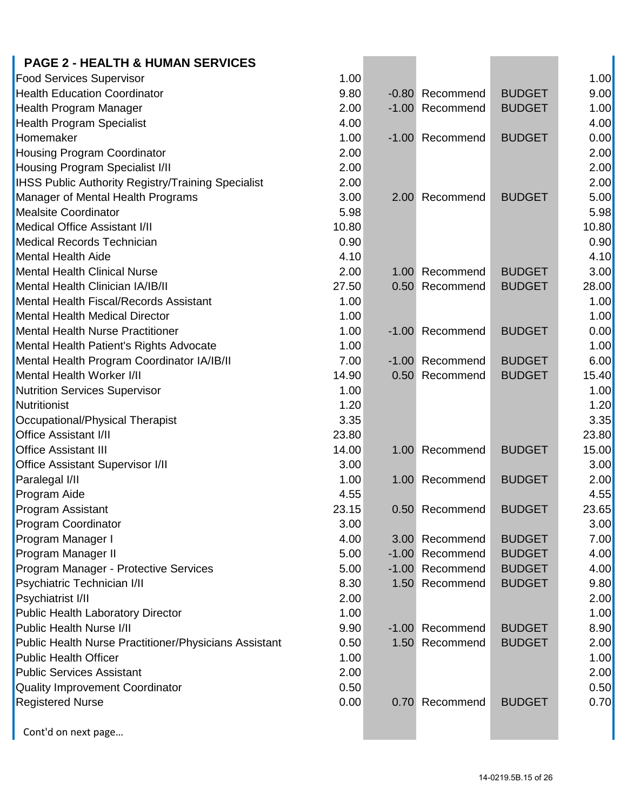| <b>PAGE 2 - HEALTH &amp; HUMAN SERVICES</b>                          |       |                 |                                |       |
|----------------------------------------------------------------------|-------|-----------------|--------------------------------|-------|
| <b>Food Services Supervisor</b>                                      | 1.00  |                 |                                | 1.00  |
| <b>Health Education Coordinator</b>                                  | 9.80  | -0.80 Recommend | <b>BUDGET</b>                  | 9.00  |
| <b>Health Program Manager</b>                                        | 2.00  | -1.00 Recommend | <b>BUDGET</b>                  | 1.00  |
| <b>Health Program Specialist</b>                                     | 4.00  |                 |                                | 4.00  |
| Homemaker                                                            | 1.00  | -1.00 Recommend | <b>BUDGET</b>                  | 0.00  |
| <b>Housing Program Coordinator</b>                                   | 2.00  |                 |                                | 2.00  |
| <b>Housing Program Specialist I/II</b>                               | 2.00  |                 |                                | 2.00  |
| <b>IHSS Public Authority Registry/Training Specialist</b>            | 2.00  |                 |                                | 2.00  |
| Manager of Mental Health Programs                                    | 3.00  | 2.00 Recommend  | <b>BUDGET</b>                  | 5.00  |
| <b>Mealsite Coordinator</b>                                          | 5.98  |                 |                                | 5.98  |
| <b>Medical Office Assistant I/II</b>                                 | 10.80 |                 |                                | 10.80 |
| <b>Medical Records Technician</b>                                    | 0.90  |                 |                                | 0.90  |
| <b>Mental Health Aide</b>                                            | 4.10  |                 |                                | 4.10  |
| <b>Mental Health Clinical Nurse</b>                                  | 2.00  | 1.00 Recommend  | <b>BUDGET</b>                  | 3.00  |
| <b>Mental Health Clinician IA/IB/II</b>                              | 27.50 | 0.50 Recommend  | <b>BUDGET</b>                  | 28.00 |
| Mental Health Fiscal/Records Assistant                               | 1.00  |                 |                                | 1.00  |
| <b>Mental Health Medical Director</b>                                | 1.00  |                 |                                | 1.00  |
| <b>Mental Health Nurse Practitioner</b>                              | 1.00  | -1.00 Recommend | <b>BUDGET</b>                  | 0.00  |
| Mental Health Patient's Rights Advocate                              | 1.00  |                 |                                | 1.00  |
| Mental Health Program Coordinator IA/IB/II                           | 7.00  | -1.00 Recommend | <b>BUDGET</b>                  | 6.00  |
| Mental Health Worker I/II                                            | 14.90 | 0.50 Recommend  | <b>BUDGET</b>                  | 15.40 |
| <b>Nutrition Services Supervisor</b>                                 | 1.00  |                 |                                | 1.00  |
| Nutritionist                                                         | 1.20  |                 |                                | 1.20  |
| Occupational/Physical Therapist                                      | 3.35  |                 |                                | 3.35  |
| <b>Office Assistant I/II</b>                                         | 23.80 |                 |                                | 23.80 |
| <b>Office Assistant III</b>                                          | 14.00 | 1.00 Recommend  | <b>BUDGET</b>                  | 15.00 |
|                                                                      | 3.00  |                 |                                | 3.00  |
| <b>Office Assistant Supervisor I/II</b><br>Paralegal I/II            | 1.00  | 1.00 Recommend  | <b>BUDGET</b>                  | 2.00  |
| <b>Program Aide</b>                                                  | 4.55  |                 |                                | 4.55  |
|                                                                      | 23.15 |                 | <b>BUDGET</b>                  | 23.65 |
| <b>Program Assistant</b><br><b>Program Coordinator</b>               | 3.00  | 0.50 Recommend  |                                | 3.00  |
|                                                                      | 4.00  | 3.00 Recommend  | <b>BUDGET</b>                  | 7.00  |
| Program Manager I                                                    | 5.00  | -1.00 Recommend | <b>BUDGET</b>                  | 4.00  |
| Program Manager II                                                   | 5.00  | -1.00 Recommend | <b>BUDGET</b>                  | 4.00  |
| Program Manager - Protective Services                                | 8.30  | 1.50 Recommend  | <b>BUDGET</b>                  | 9.80  |
| Psychiatric Technician I/II                                          | 2.00  |                 |                                | 2.00  |
| <b>Psychiatrist I/II</b>                                             | 1.00  |                 |                                |       |
| Public Health Laboratory Director<br><b>Public Health Nurse I/II</b> |       |                 |                                | 1.00  |
|                                                                      | 9.90  | -1.00 Recommend | <b>BUDGET</b><br><b>BUDGET</b> | 8.90  |
| <b>Public Health Nurse Practitioner/Physicians Assistant</b>         | 0.50  | 1.50 Recommend  |                                | 2.00  |
| <b>Public Health Officer</b>                                         | 1.00  |                 |                                | 1.00  |
| <b>Public Services Assistant</b>                                     | 2.00  |                 |                                | 2.00  |
| Quality Improvement Coordinator                                      | 0.50  |                 |                                | 0.50  |
| <b>Registered Nurse</b>                                              | 0.00  | 0.70 Recommend  | <b>BUDGET</b>                  | 0.70  |
| Cont'd on next page                                                  |       |                 |                                |       |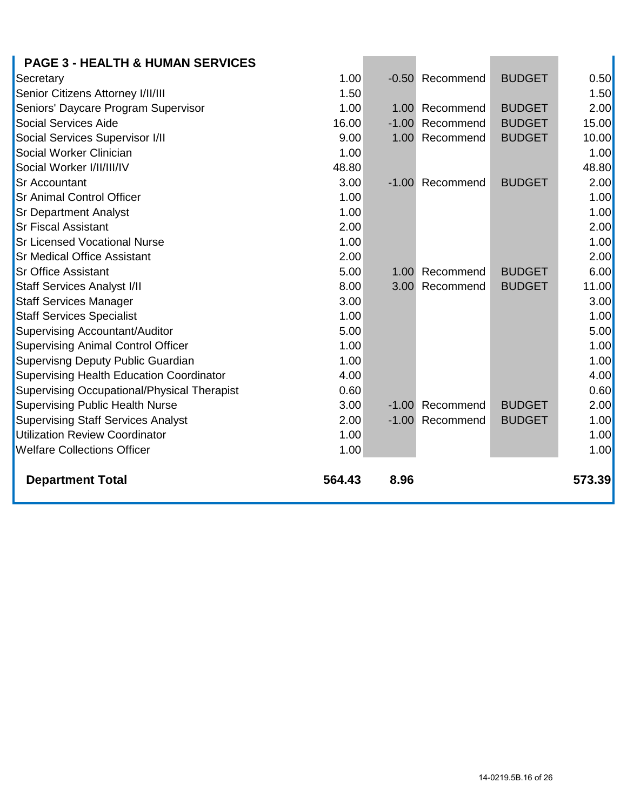| <b>PAGE 3 - HEALTH &amp; HUMAN SERVICES</b>        |        |                   |                 |               |        |
|----------------------------------------------------|--------|-------------------|-----------------|---------------|--------|
| Secretary                                          | 1.00   |                   | -0.50 Recommend | <b>BUDGET</b> | 0.50   |
| Senior Citizens Attorney I/II/III                  | 1.50   |                   |                 |               | 1.50   |
| Seniors' Daycare Program Supervisor                | 1.00   |                   | 1.00 Recommend  | <b>BUDGET</b> | 2.00   |
| <b>Social Services Aide</b>                        | 16.00  | $-1.00$           | Recommend       | <b>BUDGET</b> | 15.00  |
| Social Services Supervisor I/II                    | 9.00   | 1.00              | Recommend       | <b>BUDGET</b> | 10.00  |
| Social Worker Clinician                            | 1.00   |                   |                 |               | 1.00   |
| Social Worker I/II/III/IV                          | 48.80  |                   |                 |               | 48.80  |
| <b>Sr Accountant</b>                               | 3.00   |                   | -1.00 Recommend | <b>BUDGET</b> | 2.00   |
| <b>Sr Animal Control Officer</b>                   | 1.00   |                   |                 |               | 1.00   |
| <b>Sr Department Analyst</b>                       | 1.00   |                   |                 |               | 1.00   |
| <b>Sr Fiscal Assistant</b>                         | 2.00   |                   |                 |               | 2.00   |
| <b>Sr Licensed Vocational Nurse</b>                | 1.00   |                   |                 |               | 1.00   |
| <b>Sr Medical Office Assistant</b>                 | 2.00   |                   |                 |               | 2.00   |
| <b>Sr Office Assistant</b>                         | 5.00   | 1.00 <sub>1</sub> | Recommend       | <b>BUDGET</b> | 6.00   |
| <b>Staff Services Analyst I/II</b>                 | 8.00   | 3.00 <sub>1</sub> | Recommend       | <b>BUDGET</b> | 11.00  |
| <b>Staff Services Manager</b>                      | 3.00   |                   |                 |               | 3.00   |
| <b>Staff Services Specialist</b>                   | 1.00   |                   |                 |               | 1.00   |
| <b>Supervising Accountant/Auditor</b>              | 5.00   |                   |                 |               | 5.00   |
| <b>Supervising Animal Control Officer</b>          | 1.00   |                   |                 |               | 1.00   |
| Supervisng Deputy Public Guardian                  | 1.00   |                   |                 |               | 1.00   |
| <b>Supervising Health Education Coordinator</b>    | 4.00   |                   |                 |               | 4.00   |
| <b>Supervising Occupational/Physical Therapist</b> | 0.60   |                   |                 |               | 0.60   |
| <b>Supervising Public Health Nurse</b>             | 3.00   | $-1.00$           | Recommend       | <b>BUDGET</b> | 2.00   |
| <b>Supervising Staff Services Analyst</b>          | 2.00   |                   | -1.00 Recommend | <b>BUDGET</b> | 1.00   |
| <b>Utilization Review Coordinator</b>              | 1.00   |                   |                 |               | 1.00   |
| <b>Welfare Collections Officer</b>                 | 1.00   |                   |                 |               | 1.00   |
| <b>Department Total</b>                            | 564.43 | 8.96              |                 |               | 573.39 |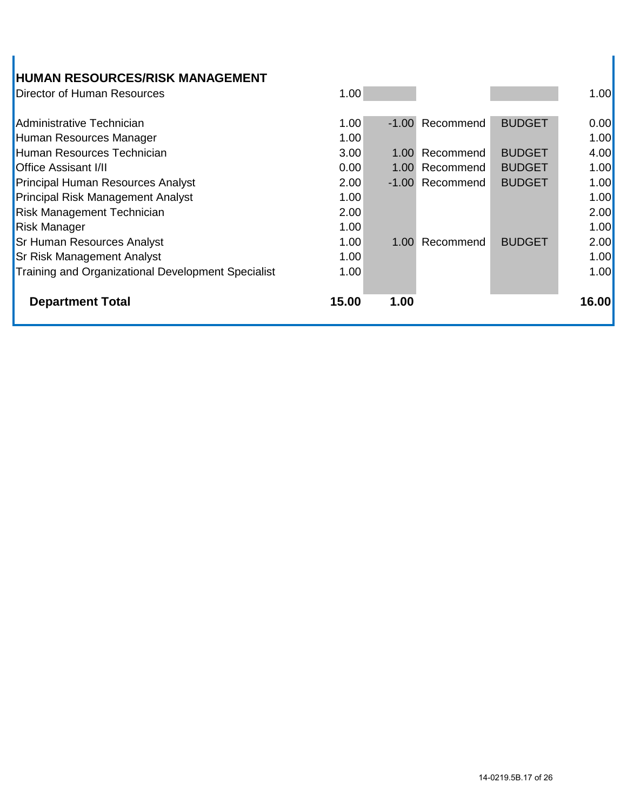| <b>HUMAN RESOURCES/RISK MANAGEMENT</b>             |       |                   |                 |               |       |
|----------------------------------------------------|-------|-------------------|-----------------|---------------|-------|
| Director of Human Resources                        | 1.00  |                   |                 |               | 1.00  |
| Administrative Technician                          | 1.00  |                   | -1.00 Recommend | <b>BUDGET</b> | 0.00  |
| Human Resources Manager                            | 1.00  |                   |                 |               | 1.00  |
| Human Resources Technician                         | 3.00  | 1.00 <sub>1</sub> | Recommend       | <b>BUDGET</b> | 4.00  |
| <b>Office Assisant I/II</b>                        | 0.00  | 1.00              | Recommend       | <b>BUDGET</b> | 1.00  |
| <b>Principal Human Resources Analyst</b>           | 2.00  | $-1.00$           | Recommend       | <b>BUDGET</b> | 1.00  |
| <b>Principal Risk Management Analyst</b>           | 1.00  |                   |                 |               | 1.00  |
| <b>Risk Management Technician</b>                  | 2.00  |                   |                 |               | 2.00  |
| <b>Risk Manager</b>                                | 1.00  |                   |                 |               | 1.00  |
| <b>Sr Human Resources Analyst</b>                  | 1.00  | 1.00              | Recommend       | <b>BUDGET</b> | 2.00  |
| <b>Sr Risk Management Analyst</b>                  | 1.00  |                   |                 |               | 1.00  |
| Training and Organizational Development Specialist | 1.00  |                   |                 |               | 1.00  |
|                                                    |       |                   |                 |               |       |
| <b>Department Total</b>                            | 15.00 | 1.00              |                 |               | 16.00 |
|                                                    |       |                   |                 |               |       |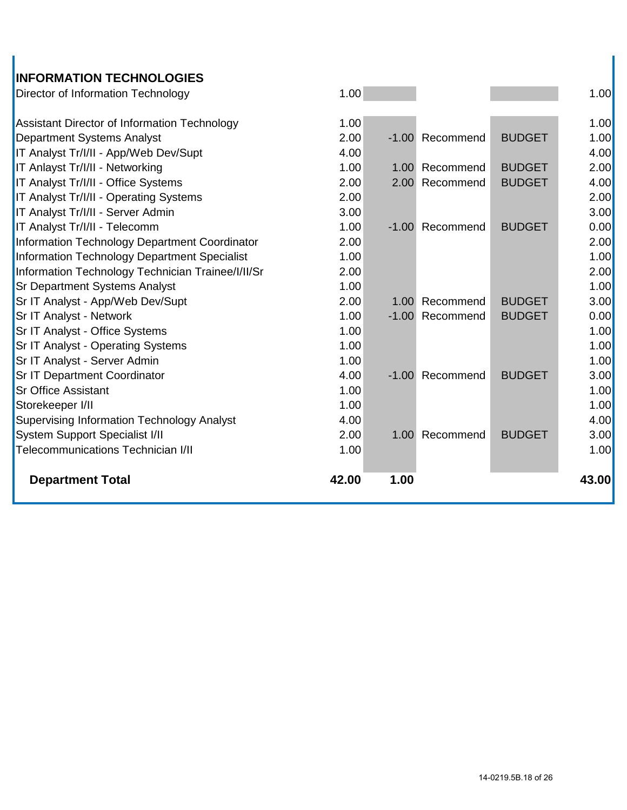### **INFORMATION TECHNOLOGIES**

| 1.00  |      |                                                                                                                                                  | 1.00  |
|-------|------|--------------------------------------------------------------------------------------------------------------------------------------------------|-------|
| 1.00  |      |                                                                                                                                                  | 1.00  |
| 2.00  |      | <b>BUDGET</b>                                                                                                                                    | 1.00  |
| 4.00  |      |                                                                                                                                                  | 4.00  |
| 1.00  |      | <b>BUDGET</b>                                                                                                                                    | 2.00  |
| 2.00  |      | <b>BUDGET</b>                                                                                                                                    | 4.00  |
| 2.00  |      |                                                                                                                                                  | 2.00  |
| 3.00  |      |                                                                                                                                                  | 3.00  |
| 1.00  |      | <b>BUDGET</b>                                                                                                                                    | 0.00  |
| 2.00  |      |                                                                                                                                                  | 2.00  |
| 1.00  |      |                                                                                                                                                  | 1.00  |
| 2.00  |      |                                                                                                                                                  | 2.00  |
| 1.00  |      |                                                                                                                                                  | 1.00  |
| 2.00  |      | <b>BUDGET</b>                                                                                                                                    | 3.00  |
| 1.00  |      | <b>BUDGET</b>                                                                                                                                    | 0.00  |
| 1.00  |      |                                                                                                                                                  | 1.00  |
| 1.00  |      |                                                                                                                                                  | 1.00  |
| 1.00  |      |                                                                                                                                                  | 1.00  |
| 4.00  |      | <b>BUDGET</b>                                                                                                                                    | 3.00  |
| 1.00  |      |                                                                                                                                                  | 1.00  |
| 1.00  |      |                                                                                                                                                  | 1.00  |
| 4.00  |      |                                                                                                                                                  | 4.00  |
| 2.00  |      | <b>BUDGET</b>                                                                                                                                    | 3.00  |
| 1.00  |      |                                                                                                                                                  | 1.00  |
| 42.00 | 1.00 |                                                                                                                                                  | 43.00 |
|       |      | -1.00 Recommend<br>1.00 Recommend<br>2.00 Recommend<br>-1.00 Recommend<br>1.00 Recommend<br>-1.00 Recommend<br>-1.00 Recommend<br>1.00 Recommend |       |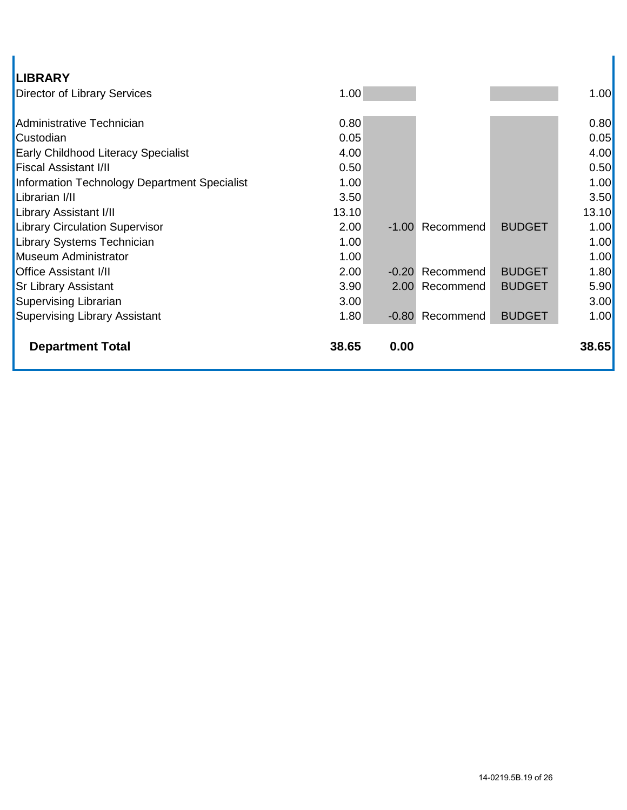| LIBRARY                                      |       |      |                 |               |       |
|----------------------------------------------|-------|------|-----------------|---------------|-------|
| <b>Director of Library Services</b>          | 1.00  |      |                 |               | 1.00  |
|                                              |       |      |                 |               |       |
| Administrative Technician                    | 0.80  |      |                 |               | 0.80  |
| Custodian                                    | 0.05  |      |                 |               | 0.05  |
| <b>Early Childhood Literacy Specialist</b>   | 4.00  |      |                 |               | 4.00  |
| <b>Fiscal Assistant I/II</b>                 | 0.50  |      |                 |               | 0.50  |
| Information Technology Department Specialist | 1.00  |      |                 |               | 1.00  |
| Librarian I/II                               | 3.50  |      |                 |               | 3.50  |
| Library Assistant I/II                       | 13.10 |      |                 |               | 13.10 |
| <b>Library Circulation Supervisor</b>        | 2.00  |      | -1.00 Recommend | <b>BUDGET</b> | 1.00  |
| <b>Library Systems Technician</b>            | 1.00  |      |                 |               | 1.00  |
| Museum Administrator                         | 1.00  |      |                 |               | 1.00  |
| <b>Office Assistant I/II</b>                 | 2.00  |      | -0.20 Recommend | <b>BUDGET</b> | 1.80  |
| <b>Sr Library Assistant</b>                  | 3.90  |      | 2.00 Recommend  | <b>BUDGET</b> | 5.90  |
| Supervising Librarian                        | 3.00  |      |                 |               | 3.00  |
| <b>Supervising Library Assistant</b>         | 1.80  |      | -0.80 Recommend | <b>BUDGET</b> | 1.00  |
|                                              |       |      |                 |               |       |
| <b>Department Total</b>                      | 38.65 | 0.00 |                 |               | 38.65 |
|                                              |       |      |                 |               |       |

I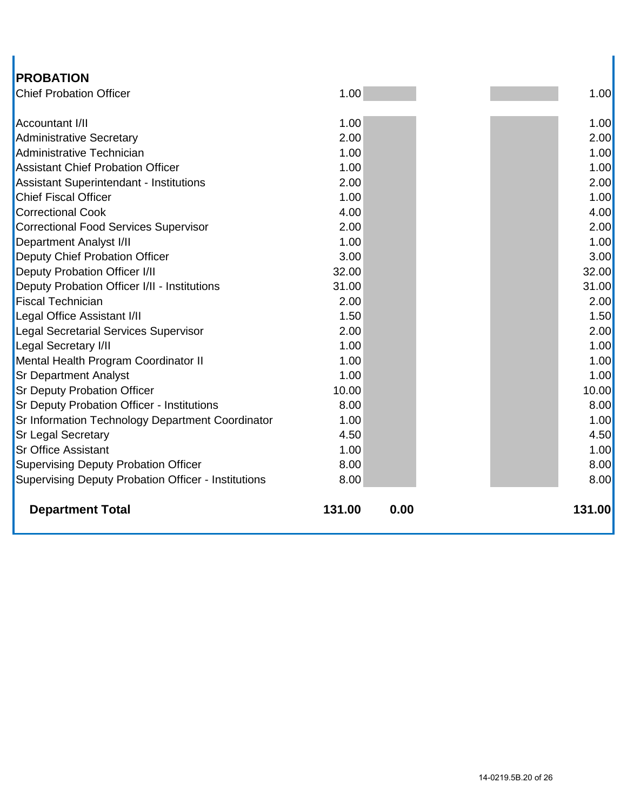| <b>PROBATION</b>                                    |        |      |        |
|-----------------------------------------------------|--------|------|--------|
| <b>Chief Probation Officer</b>                      | 1.00   |      | 1.00   |
| <b>Accountant I/II</b>                              | 1.00   |      | 1.00   |
| <b>Administrative Secretary</b>                     | 2.00   |      | 2.00   |
| Administrative Technician                           | 1.00   |      | 1.00   |
| <b>Assistant Chief Probation Officer</b>            | 1.00   |      | 1.00   |
| Assistant Superintendant - Institutions             | 2.00   |      | 2.00   |
| <b>Chief Fiscal Officer</b>                         | 1.00   |      | 1.00   |
| <b>Correctional Cook</b>                            | 4.00   |      | 4.00   |
| <b>Correctional Food Services Supervisor</b>        | 2.00   |      | 2.00   |
| <b>Department Analyst I/II</b>                      | 1.00   |      | 1.00   |
| Deputy Chief Probation Officer                      | 3.00   |      | 3.00   |
| Deputy Probation Officer I/II                       | 32.00  |      | 32.00  |
| Deputy Probation Officer I/II - Institutions        | 31.00  |      | 31.00  |
| <b>Fiscal Technician</b>                            | 2.00   |      | 2.00   |
| Legal Office Assistant I/II                         | 1.50   |      | 1.50   |
| <b>Legal Secretarial Services Supervisor</b>        | 2.00   |      | 2.00   |
| <b>Legal Secretary I/II</b>                         | 1.00   |      | 1.00   |
| Mental Health Program Coordinator II                | 1.00   |      | 1.00   |
| <b>Sr Department Analyst</b>                        | 1.00   |      | 1.00   |
| <b>Sr Deputy Probation Officer</b>                  | 10.00  |      | 10.00  |
| <b>Sr Deputy Probation Officer - Institutions</b>   | 8.00   |      | 8.00   |
| Sr Information Technology Department Coordinator    | 1.00   |      | 1.00   |
| <b>Sr Legal Secretary</b>                           | 4.50   |      | 4.50   |
| <b>Sr Office Assistant</b>                          | 1.00   |      | 1.00   |
| <b>Supervising Deputy Probation Officer</b>         | 8.00   |      | 8.00   |
| Supervising Deputy Probation Officer - Institutions | 8.00   |      | 8.00   |
| <b>Department Total</b>                             | 131.00 | 0.00 | 131.00 |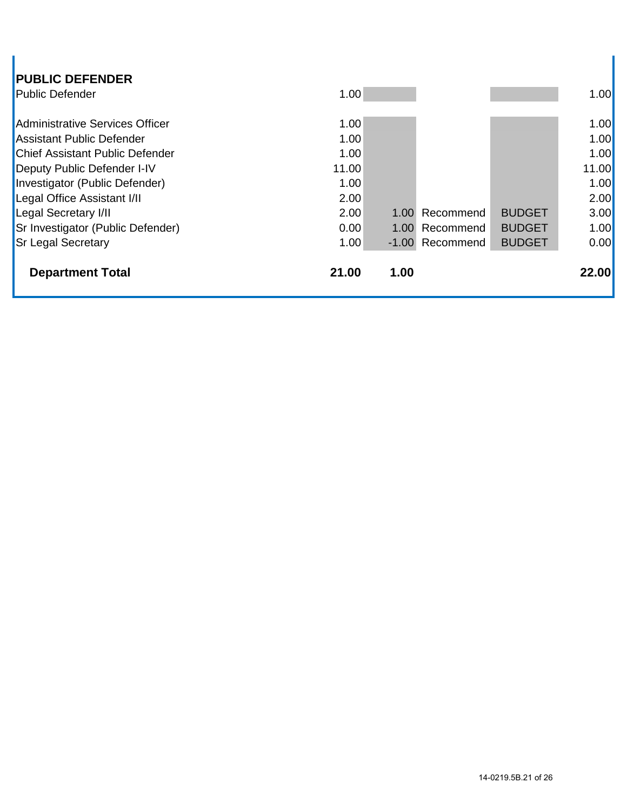| <b>PUBLIC DEFENDER</b>                 |       |      |                 |               |       |
|----------------------------------------|-------|------|-----------------|---------------|-------|
| <b>Public Defender</b>                 | 1.00  |      |                 |               | 1.00  |
| Administrative Services Officer        | 1.00  |      |                 |               | 1.00  |
| <b>Assistant Public Defender</b>       | 1.00  |      |                 |               | 1.00  |
| <b>Chief Assistant Public Defender</b> | 1.00  |      |                 |               | 1.00  |
| Deputy Public Defender I-IV            | 11.00 |      |                 |               | 11.00 |
| Investigator (Public Defender)         | 1.00  |      |                 |               | 1.00  |
| Legal Office Assistant I/II            | 2.00  |      |                 |               | 2.00  |
| Legal Secretary I/II                   | 2.00  | 1.00 | Recommend       | <b>BUDGET</b> | 3.00  |
| Sr Investigator (Public Defender)      | 0.00  | 1.00 | Recommend       | <b>BUDGET</b> | 1.00  |
| <b>Sr Legal Secretary</b>              | 1.00  |      | -1.00 Recommend | <b>BUDGET</b> | 0.00  |
| <b>Department Total</b>                | 21.00 | 1.00 |                 |               | 22.00 |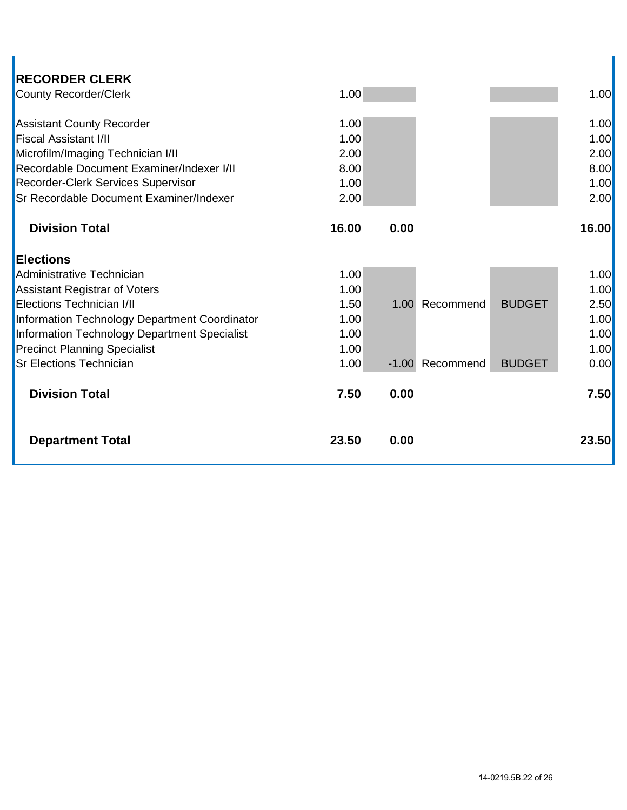| <b>RECORDER CLERK</b><br><b>County Recorder/Clerk</b> | 1.00  |      |                 |               | 1.00  |
|-------------------------------------------------------|-------|------|-----------------|---------------|-------|
|                                                       |       |      |                 |               |       |
| <b>Assistant County Recorder</b>                      | 1.00  |      |                 |               | 1.00  |
| <b>Fiscal Assistant I/II</b>                          | 1.00  |      |                 |               | 1.00  |
| Microfilm/Imaging Technician I/II                     | 2.00  |      |                 |               | 2.00  |
| Recordable Document Examiner/Indexer I/II             | 8.00  |      |                 |               | 8.00  |
| Recorder-Clerk Services Supervisor                    | 1.00  |      |                 |               | 1.00  |
| Sr Recordable Document Examiner/Indexer               | 2.00  |      |                 |               | 2.00  |
|                                                       |       |      |                 |               |       |
| <b>Division Total</b>                                 | 16.00 | 0.00 |                 |               | 16.00 |
| <b>Elections</b>                                      |       |      |                 |               |       |
| Administrative Technician                             | 1.00  |      |                 |               | 1.00  |
| <b>Assistant Registrar of Voters</b>                  | 1.00  |      |                 |               | 1.00  |
| Elections Technician I/II                             | 1.50  |      | 1.00 Recommend  | <b>BUDGET</b> | 2.50  |
| Information Technology Department Coordinator         | 1.00  |      |                 |               | 1.00  |
| Information Technology Department Specialist          | 1.00  |      |                 |               | 1.00  |
| <b>Precinct Planning Specialist</b>                   | 1.00  |      |                 |               | 1.00  |
| <b>Sr Elections Technician</b>                        | 1.00  |      | -1.00 Recommend | <b>BUDGET</b> | 0.00  |
| <b>Division Total</b>                                 | 7.50  | 0.00 |                 |               | 7.50  |
|                                                       |       |      |                 |               |       |
| <b>Department Total</b>                               | 23.50 | 0.00 |                 |               | 23.50 |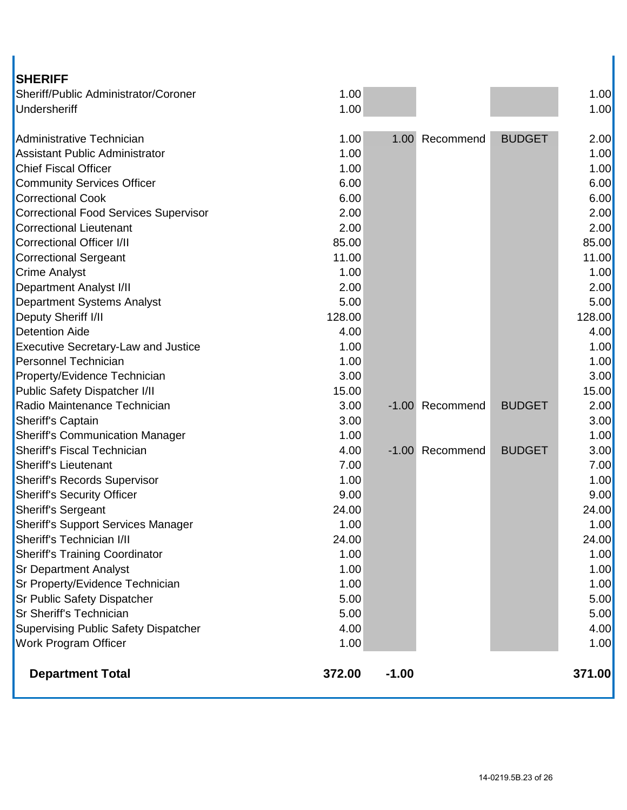| <b>SHERIFF</b>                               |        |         |           |               |        |
|----------------------------------------------|--------|---------|-----------|---------------|--------|
| Sheriff/Public Administrator/Coroner         | 1.00   |         |           |               | 1.00   |
| Undersheriff                                 | 1.00   |         |           |               | 1.00   |
| Administrative Technician                    | 1.00   | 1.00    | Recommend | <b>BUDGET</b> | 2.00   |
| <b>Assistant Public Administrator</b>        | 1.00   |         |           |               | 1.00   |
| <b>Chief Fiscal Officer</b>                  | 1.00   |         |           |               | 1.00   |
| <b>Community Services Officer</b>            | 6.00   |         |           |               | 6.00   |
| <b>Correctional Cook</b>                     | 6.00   |         |           |               | 6.00   |
| <b>Correctional Food Services Supervisor</b> | 2.00   |         |           |               | 2.00   |
| <b>Correctional Lieutenant</b>               | 2.00   |         |           |               | 2.00   |
| <b>Correctional Officer I/II</b>             | 85.00  |         |           |               | 85.00  |
| <b>Correctional Sergeant</b>                 | 11.00  |         |           |               | 11.00  |
| <b>Crime Analyst</b>                         | 1.00   |         |           |               | 1.00   |
| <b>Department Analyst I/II</b>               | 2.00   |         |           |               | 2.00   |
| <b>Department Systems Analyst</b>            | 5.00   |         |           |               | 5.00   |
| Deputy Sheriff I/II                          | 128.00 |         |           |               | 128.00 |
| <b>Detention Aide</b>                        | 4.00   |         |           |               | 4.00   |
| <b>Executive Secretary-Law and Justice</b>   | 1.00   |         |           |               | 1.00   |
| Personnel Technician                         | 1.00   |         |           |               | 1.00   |
| Property/Evidence Technician                 | 3.00   |         |           |               | 3.00   |
| Public Safety Dispatcher I/II                | 15.00  |         |           |               | 15.00  |
| Radio Maintenance Technician                 | 3.00   | $-1.00$ | Recommend | <b>BUDGET</b> | 2.00   |
| Sheriff's Captain                            | 3.00   |         |           |               | 3.00   |
| <b>Sheriff's Communication Manager</b>       | 1.00   |         |           |               | 1.00   |
| <b>Sheriff's Fiscal Technician</b>           | 4.00   | $-1.00$ | Recommend | <b>BUDGET</b> | 3.00   |
| Sheriff's Lieutenant                         | 7.00   |         |           |               | 7.00   |
| <b>Sheriff's Records Supervisor</b>          | 1.00   |         |           |               | 1.00   |
| <b>Sheriff's Security Officer</b>            | 9.00   |         |           |               | 9.00   |
| <b>Sheriff's Sergeant</b>                    | 24.00  |         |           |               | 24.00  |
| <b>Sheriff's Support Services Manager</b>    | 1.00   |         |           |               | 1.00   |
| Sheriff's Technician I/II                    | 24.00  |         |           |               | 24.00  |
| <b>Sheriff's Training Coordinator</b>        | 1.00   |         |           |               | 1.00   |
| <b>Sr Department Analyst</b>                 | 1.00   |         |           |               | 1.00   |
| Sr Property/Evidence Technician              | 1.00   |         |           |               | 1.00   |
| Sr Public Safety Dispatcher                  | 5.00   |         |           |               | 5.00   |
| Sr Sheriff's Technician                      | 5.00   |         |           |               | 5.00   |
| <b>Supervising Public Safety Dispatcher</b>  | 4.00   |         |           |               | 4.00   |
| Work Program Officer                         | 1.00   |         |           |               | 1.00   |
| <b>Department Total</b>                      | 372.00 | $-1.00$ |           |               | 371.00 |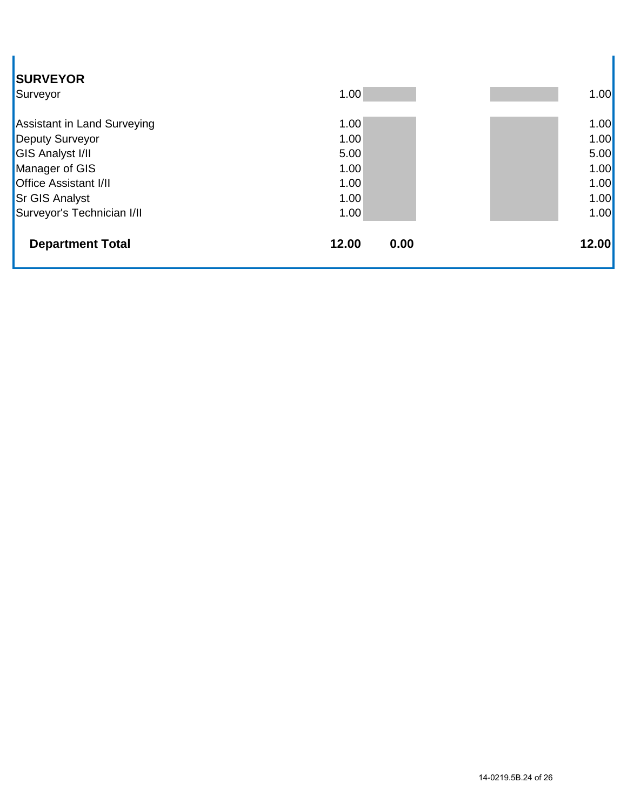| <b>SURVEYOR</b><br>Surveyor  | 1.00  |      | 1.00  |
|------------------------------|-------|------|-------|
| Assistant in Land Surveying  | 1.00  |      | 1.00  |
| Deputy Surveyor              | 1.00  |      | 1.00  |
| <b>GIS Analyst I/II</b>      | 5.00  |      | 5.00  |
| Manager of GIS               | 1.00  |      | 1.00  |
| <b>Office Assistant I/II</b> | 1.00  |      | 1.00  |
| <b>Sr GIS Analyst</b>        | 1.00  |      | 1.00  |
| Surveyor's Technician I/II   | 1.00  |      | 1.00  |
| <b>Department Total</b>      | 12.00 | 0.00 | 12.00 |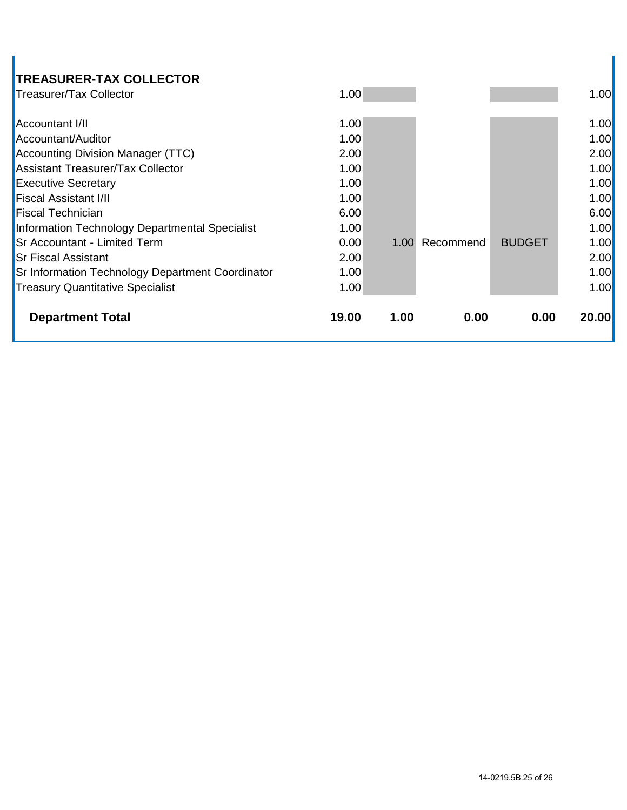# **TREASURER-TAX COLLECTOR**

| Treasurer/Tax Collector                                 | 1.00  |      |           |               | 1.00  |
|---------------------------------------------------------|-------|------|-----------|---------------|-------|
| <b>Accountant I/II</b>                                  | 1.00  |      |           |               | 1.00  |
| Accountant/Auditor                                      | 1.00  |      |           |               | 1.00  |
| Accounting Division Manager (TTC)                       | 2.00  |      |           |               | 2.00  |
| <b>Assistant Treasurer/Tax Collector</b>                | 1.00  |      |           |               | 1.00  |
| <b>Executive Secretary</b>                              | 1.00  |      |           |               | 1.00  |
| <b>Fiscal Assistant I/II</b>                            | 1.00  |      |           |               | 1.00  |
| <b>Fiscal Technician</b>                                | 6.00  |      |           |               | 6.00  |
| Information Technology Departmental Specialist          | 1.00  |      |           |               | 1.00  |
| <b>Sr Accountant - Limited Term</b>                     | 0.00  | 1.00 | Recommend | <b>BUDGET</b> | 1.00  |
| <b>Sr Fiscal Assistant</b>                              | 2.00  |      |           |               | 2.00  |
| <b>Sr Information Technology Department Coordinator</b> | 1.00  |      |           |               | 1.00  |
| <b>Treasury Quantitative Specialist</b>                 | 1.00  |      |           |               | 1.00  |
| <b>Department Total</b>                                 | 19.00 | 1.00 | 0.00      | 0.00          | 20.00 |